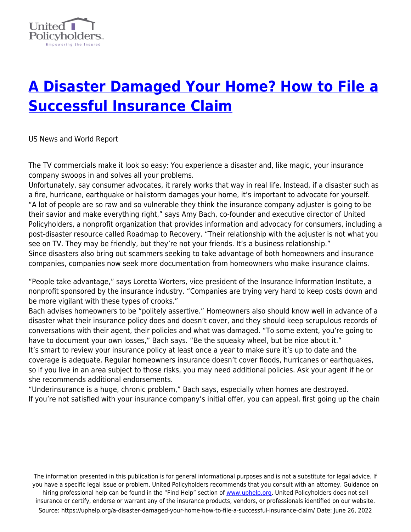

## **[A Disaster Damaged Your Home? How to File a](https://uphelp.org/a-disaster-damaged-your-home-how-to-file-a-successful-insurance-claim/) [Successful Insurance Claim](https://uphelp.org/a-disaster-damaged-your-home-how-to-file-a-successful-insurance-claim/)**

US News and World Report

The TV commercials make it look so easy: You experience a disaster and, like magic, your insurance company swoops in and solves all your problems.

Unfortunately, say consumer advocates, it rarely works that way in real life. Instead, if a disaster such as a fire, hurricane, earthquake or hailstorm damages your home, it's important to advocate for yourself. "A lot of people are so raw and so vulnerable they think the insurance company adjuster is going to be their savior and make everything right," says Amy Bach, co-founder and executive director of United Policyholders, a nonprofit organization that provides information and advocacy for consumers, including a post-disaster resource called Roadmap to Recovery. "Their relationship with the adjuster is not what you see on TV. They may be friendly, but they're not your friends. It's a business relationship." Since disasters also bring out scammers seeking to take advantage of both homeowners and insurance companies, companies now seek more documentation from homeowners who make insurance claims.

"People take advantage," says Loretta Worters, vice president of the Insurance Information Institute, a nonprofit sponsored by the insurance industry. "Companies are trying very hard to keep costs down and be more vigilant with these types of crooks."

Bach advises homeowners to be "politely assertive." Homeowners also should know well in advance of a disaster what their insurance policy does and doesn't cover, and they should keep scrupulous records of conversations with their agent, their policies and what was damaged. "To some extent, you're going to have to document your own losses," Bach says. "Be the squeaky wheel, but be nice about it." It's smart to review your insurance policy at least once a year to make sure it's up to date and the coverage is adequate. Regular homeowners insurance doesn't cover floods, hurricanes or earthquakes, so if you live in an area subject to those risks, you may need additional policies. Ask your agent if he or she recommends additional endorsements.

"Underinsurance is a huge, chronic problem," Bach says, especially when homes are destroyed. If you're not satisfied with your insurance company's initial offer, you can appeal, first going up the chain

The information presented in this publication is for general informational purposes and is not a substitute for legal advice. If you have a specific legal issue or problem, United Policyholders recommends that you consult with an attorney. Guidance on hiring professional help can be found in the "Find Help" section of [www.uphelp.org.](http://www.uphelp.org/) United Policyholders does not sell insurance or certify, endorse or warrant any of the insurance products, vendors, or professionals identified on our website. Source: https://uphelp.org/a-disaster-damaged-your-home-how-to-file-a-successful-insurance-claim/ Date: June 26, 2022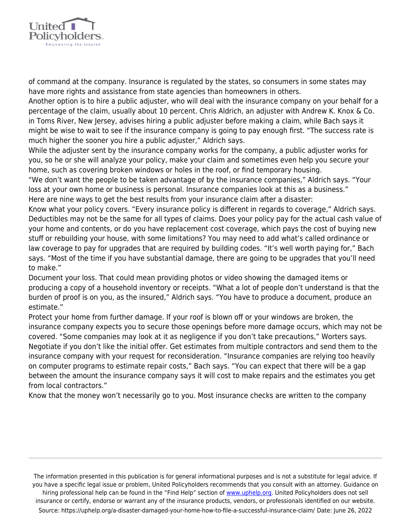

of command at the company. Insurance is regulated by the states, so consumers in some states may have more rights and assistance from state agencies than homeowners in others.

Another option is to hire a public adjuster, who will deal with the insurance company on your behalf for a percentage of the claim, usually about 10 percent. Chris Aldrich, an adjuster with Andrew K. Knox & Co. in Toms River, New Jersey, advises hiring a public adjuster before making a claim, while Bach says it might be wise to wait to see if the insurance company is going to pay enough first. "The success rate is much higher the sooner you hire a public adjuster," Aldrich says.

While the adjuster sent by the insurance company works for the company, a public adjuster works for you, so he or she will analyze your policy, make your claim and sometimes even help you secure your home, such as covering broken windows or holes in the roof, or find temporary housing.

"We don't want the people to be taken advantage of by the insurance companies," Aldrich says. "Your loss at your own home or business is personal. Insurance companies look at this as a business." Here are nine ways to get the best results from your insurance claim after a disaster:

Know what your policy covers. "Every insurance policy is different in regards to coverage," Aldrich says. Deductibles may not be the same for all types of claims. Does your policy pay for the actual cash value of your home and contents, or do you have replacement cost coverage, which pays the cost of buying new stuff or rebuilding your house, with some limitations? You may need to add what's called ordinance or law coverage to pay for upgrades that are required by building codes. "It's well worth paying for," Bach says. "Most of the time if you have substantial damage, there are going to be upgrades that you'll need to make."

Document your loss. That could mean providing photos or video showing the damaged items or producing a copy of a household inventory or receipts. "What a lot of people don't understand is that the burden of proof is on you, as the insured," Aldrich says. "You have to produce a document, produce an estimate."

Protect your home from further damage. If your roof is blown off or your windows are broken, the insurance company expects you to secure those openings before more damage occurs, which may not be covered. "Some companies may look at it as negligence if you don't take precautions," Worters says. Negotiate if you don't like the initial offer. Get estimates from multiple contractors and send them to the insurance company with your request for reconsideration. "Insurance companies are relying too heavily on computer programs to estimate repair costs," Bach says. "You can expect that there will be a gap between the amount the insurance company says it will cost to make repairs and the estimates you get from local contractors."

Know that the money won't necessarily go to you. Most insurance checks are written to the company

The information presented in this publication is for general informational purposes and is not a substitute for legal advice. If you have a specific legal issue or problem, United Policyholders recommends that you consult with an attorney. Guidance on hiring professional help can be found in the "Find Help" section of [www.uphelp.org.](http://www.uphelp.org/) United Policyholders does not sell insurance or certify, endorse or warrant any of the insurance products, vendors, or professionals identified on our website. Source: https://uphelp.org/a-disaster-damaged-your-home-how-to-file-a-successful-insurance-claim/ Date: June 26, 2022